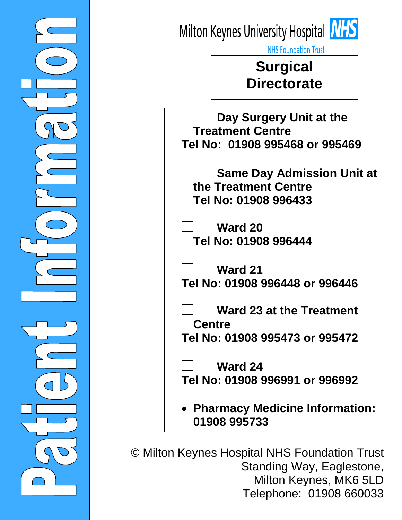

Milton Keynes University Hospital **NHS** 

**NHS Foundation Trust** 

# **Surgical Directorate**

**Day Surgery Unit at the Treatment Centre Tel No: 01908 995468 or 995469 Same Day Admission Unit at the Treatment Centre Tel No: 01908 996433 Ward 20 Tel No: 01908 996444 Ward 21 Tel No: 01908 996448 or 996446 Ward 23 at the Treatment Centre Tel No: 01908 995473 or 995472 Ward 24 Tel No: 01908 996991 or 996992 Pharmacy Medicine Information: 01908 995733**

Telephone: 01908 660033 Example 31 Standing Way, Eaglestone, Milton Keynes, MK6 5LD  $T_{\rm eff}$  on  $\sigma$   $\sim$  01908  $60$   $\sigma$ © Milton Keynes Hospital NHS Foundation Trust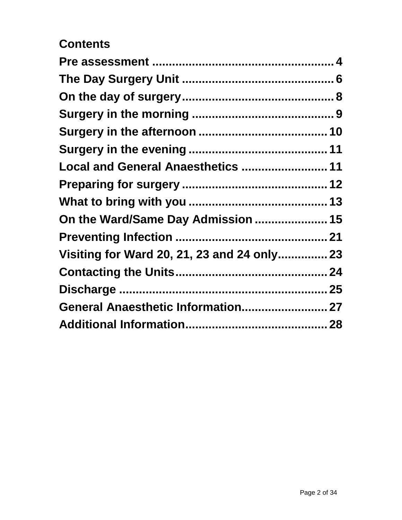#### **Contents**

| Local and General Anaesthetics  11          |
|---------------------------------------------|
|                                             |
|                                             |
| On the Ward/Same Day Admission  15          |
|                                             |
| Visiting for Ward 20, 21, 23 and 24 only 23 |
|                                             |
|                                             |
| General Anaesthetic Information 27          |
|                                             |
|                                             |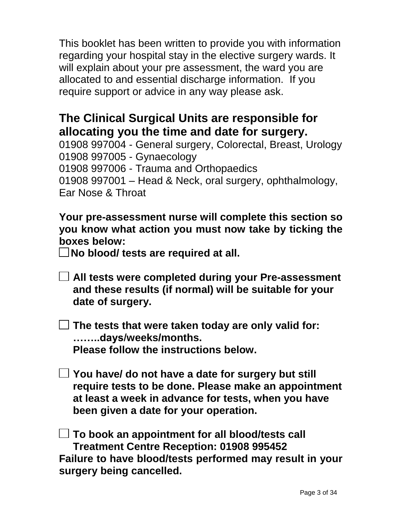This booklet has been written to provide you with information regarding your hospital stay in the elective surgery wards. It will explain about your pre assessment, the ward you are allocated to and essential discharge information. If you require support or advice in any way please ask.

#### **The Clinical Surgical Units are responsible for allocating you the time and date for surgery.**

01908 997004 - General surgery, Colorectal, Breast, Urology 01908 997005 - Gynaecology

01908 997006 - Trauma and Orthopaedics

01908 997001 – Head & Neck, oral surgery, ophthalmology, Ear Nose & Throat

**Your pre-assessment nurse will complete this section so you know what action you must now take by ticking the boxes below:**

**No blood/ tests are required at all.**

**All tests were completed during your Pre-assessment and these results (if normal) will be suitable for your date of surgery.**

**The tests that were taken today are only valid for: ……..days/weeks/months. Please follow the instructions below.**

**You have/ do not have a date for surgery but still require tests to be done. Please make an appointment at least a week in advance for tests, when you have been given a date for your operation.**

**To book an appointment for all blood/tests call Treatment Centre Reception: 01908 995452 Failure to have blood/tests performed may result in your surgery being cancelled.**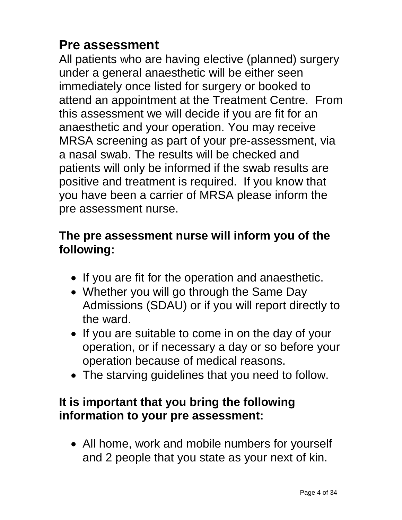# <span id="page-3-0"></span>**Pre assessment**

All patients who are having elective (planned) surgery under a general anaesthetic will be either seen immediately once listed for surgery or booked to attend an appointment at the Treatment Centre. From this assessment we will decide if you are fit for an anaesthetic and your operation. You may receive MRSA screening as part of your pre-assessment, via a nasal swab. The results will be checked and patients will only be informed if the swab results are positive and treatment is required. If you know that you have been a carrier of MRSA please inform the pre assessment nurse.

#### **The pre assessment nurse will inform you of the following:**

- If you are fit for the operation and anaesthetic.
- Whether you will go through the Same Day Admissions (SDAU) or if you will report directly to the ward.
- If you are suitable to come in on the day of your operation, or if necessary a day or so before your operation because of medical reasons.
- The starving guidelines that you need to follow.

#### **It is important that you bring the following information to your pre assessment:**

 All home, work and mobile numbers for yourself and 2 people that you state as your next of kin.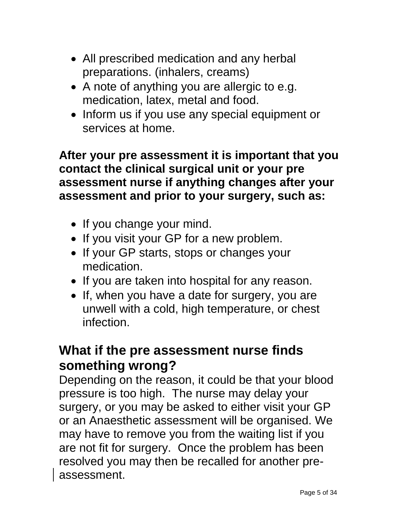- All prescribed medication and any herbal preparations. (inhalers, creams)
- A note of anything you are allergic to e.g. medication, latex, metal and food.
- Inform us if you use any special equipment or services at home.

**After your pre assessment it is important that you contact the clinical surgical unit or your pre assessment nurse if anything changes after your assessment and prior to your surgery, such as:**

- If you change your mind.
- If you visit your GP for a new problem.
- If your GP starts, stops or changes your medication.
- If you are taken into hospital for any reason.
- If, when you have a date for surgery, you are unwell with a cold, high temperature, or chest infection.

### **What if the pre assessment nurse finds something wrong?**

Depending on the reason, it could be that your blood pressure is too high. The nurse may delay your surgery, or you may be asked to either visit your GP or an Anaesthetic assessment will be organised. We may have to remove you from the waiting list if you are not fit for surgery. Once the problem has been resolved you may then be recalled for another preassessment.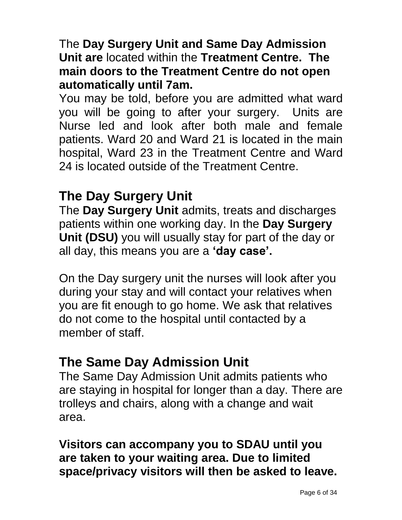The **Day Surgery Unit and Same Day Admission Unit are** located within the **Treatment Centre. The main doors to the Treatment Centre do not open automatically until 7am.**

You may be told, before you are admitted what ward you will be going to after your surgery. Units are Nurse led and look after both male and female patients. Ward 20 and Ward 21 is located in the main hospital, Ward 23 in the Treatment Centre and Ward 24 is located outside of the Treatment Centre.

### <span id="page-5-0"></span>**The Day Surgery Unit**

The **Day Surgery Unit** admits, treats and discharges patients within one working day. In the **Day Surgery Unit (DSU)** you will usually stay for part of the day or all day, this means you are a **'day case'.**

On the Day surgery unit the nurses will look after you during your stay and will contact your relatives when you are fit enough to go home. We ask that relatives do not come to the hospital until contacted by a member of staff.

# **The Same Day Admission Unit**

The Same Day Admission Unit admits patients who are staying in hospital for longer than a day. There are trolleys and chairs, along with a change and wait area.

**Visitors can accompany you to SDAU until you are taken to your waiting area. Due to limited space/privacy visitors will then be asked to leave.**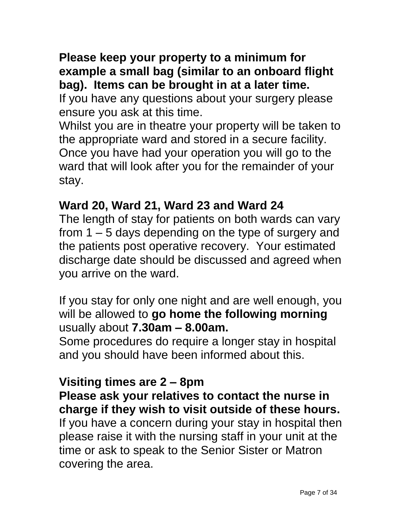#### **Please keep your property to a minimum for example a small bag (similar to an onboard flight bag). Items can be brought in at a later time.**

If you have any questions about your surgery please ensure you ask at this time.

Whilst you are in theatre your property will be taken to the appropriate ward and stored in a secure facility. Once you have had your operation you will go to the ward that will look after you for the remainder of your stay.

#### **Ward 20, Ward 21, Ward 23 and Ward 24**

The length of stay for patients on both wards can vary from 1 – 5 days depending on the type of surgery and the patients post operative recovery. Your estimated discharge date should be discussed and agreed when you arrive on the ward.

If you stay for only one night and are well enough, you will be allowed to **go home the following morning** usually about **7.30am – 8.00am.**

Some procedures do require a longer stay in hospital and you should have been informed about this.

#### **Visiting times are 2 – 8pm**

#### **Please ask your relatives to contact the nurse in charge if they wish to visit outside of these hours.**

If you have a concern during your stay in hospital then please raise it with the nursing staff in your unit at the time or ask to speak to the Senior Sister or Matron covering the area.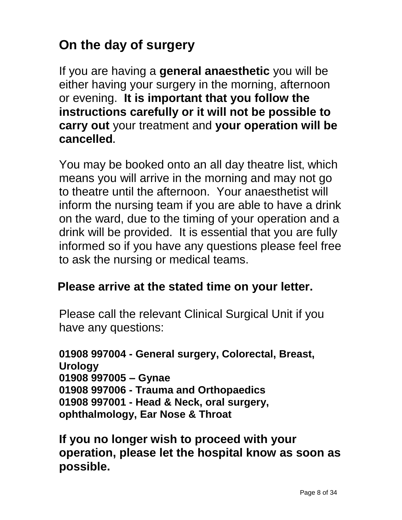# <span id="page-7-0"></span>**On the day of surgery**

If you are having a **general anaesthetic** you will be either having your surgery in the morning, afternoon or evening. **It is important that you follow the instructions carefully or it will not be possible to carry out** your treatment and **your operation will be cancelled.** 

You may be booked onto an all day theatre list**,** which means you will arrive in the morning and may not go to theatre until the afternoon. Your anaesthetist will inform the nursing team if you are able to have a drink on the ward, due to the timing of your operation and a drink will be provided. It is essential that you are fully informed so if you have any questions please feel free to ask the nursing or medical teams.

#### **Please arrive at the stated time on your letter.**

Please call the relevant Clinical Surgical Unit if you have any questions:

**01908 997004 - General surgery, Colorectal, Breast, Urology 01908 997005 – Gynae 01908 997006 - Trauma and Orthopaedics 01908 997001 - Head & Neck, oral surgery, ophthalmology, Ear Nose & Throat** 

**If you no longer wish to proceed with your operation, please let the hospital know as soon as possible.**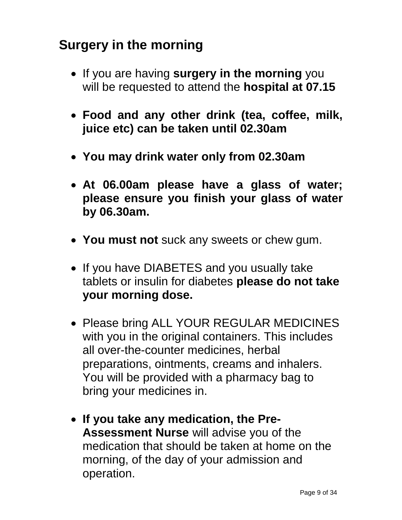# <span id="page-8-0"></span>**Surgery in the morning**

- If you are having **surgery in the morning** you will be requested to attend the **hospital at 07.15**
- **Food and any other drink (tea, coffee, milk, juice etc) can be taken until 02.30am**
- **You may drink water only from 02.30am**
- **At 06.00am please have a glass of water; please ensure you finish your glass of water by 06.30am.**
- **You must not** suck any sweets or chew gum.
- If you have DIABETES and you usually take tablets or insulin for diabetes **please do not take your morning dose.**
- Please bring ALL YOUR REGULAR MEDICINES with you in the original containers. This includes all over-the-counter medicines, herbal preparations, ointments, creams and inhalers. You will be provided with a pharmacy bag to bring your medicines in.
- **If you take any medication, the Pre-Assessment Nurse** will advise you of the medication that should be taken at home on the morning, of the day of your admission and operation.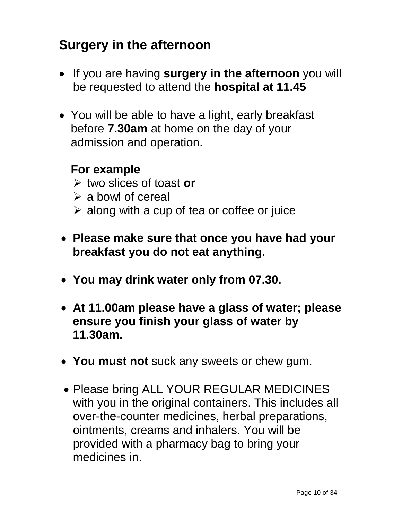# <span id="page-9-0"></span>**Surgery in the afternoon**

- If you are having **surgery in the afternoon** you will be requested to attend the **hospital at 11.45**
- You will be able to have a light, early breakfast before **7.30am** at home on the day of your admission and operation.

#### **For example**

- two slices of toast **or**
- $\triangleright$  a bowl of cereal
- $\triangleright$  along with a cup of tea or coffee or juice
- **Please make sure that once you have had your breakfast you do not eat anything.**
- **You may drink water only from 07.30.**
- **At 11.00am please have a glass of water; please ensure you finish your glass of water by 11.30am.**
- **You must not** suck any sweets or chew gum.
- Please bring ALL YOUR REGULAR MEDICINES with you in the original containers. This includes all over-the-counter medicines, herbal preparations, ointments, creams and inhalers. You will be provided with a pharmacy bag to bring your medicines in.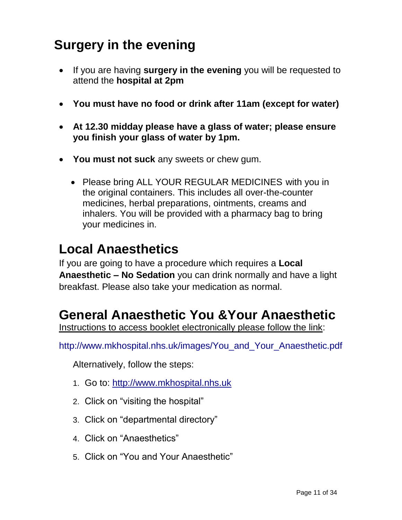# <span id="page-10-0"></span>**Surgery in the evening**

- If you are having **surgery in the evening** you will be requested to attend the **hospital at 2pm**
- **You must have no food or drink after 11am (except for water)**
- **At 12.30 midday please have a glass of water; please ensure you finish your glass of water by 1pm.**
- **You must not suck** any sweets or chew gum.
	- Please bring ALL YOUR REGULAR MEDICINES with you in the original containers. This includes all over-the-counter medicines, herbal preparations, ointments, creams and inhalers. You will be provided with a pharmacy bag to bring your medicines in.

### <span id="page-10-1"></span>**Local Anaesthetics**

If you are going to have a procedure which requires a **Local Anaesthetic – No Sedation** you can drink normally and have a light breakfast. Please also take your medication as normal.

### **General Anaesthetic You &Your Anaesthetic**

Instructions to access booklet electronically please follow the link:

http://www.mkhospital.nhs.uk/images/You\_and\_Your\_Anaesthetic.pdf

Alternatively, follow the steps:

- 1. Go to: [http://www.mkhospital.nhs.uk](http://www.mkhospital.nhs.uk/)
- 2. Click on "visiting the hospital"
- 3. Click on "departmental directory"
- 4. Click on "Anaesthetics"
- 5. Click on "You and Your Anaesthetic"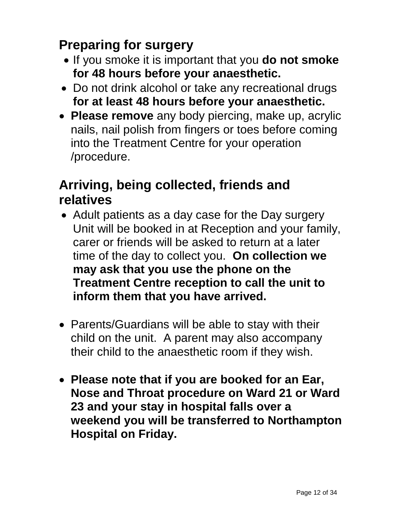# <span id="page-11-0"></span>**Preparing for surgery**

- If you smoke it is important that you **do not smoke for 48 hours before your anaesthetic.**
- Do not drink alcohol or take any recreational drugs **for at least 48 hours before your anaesthetic.**
- **Please remove** any body piercing, make up, acrylic nails, nail polish from fingers or toes before coming into the Treatment Centre for your operation /procedure.

### **Arriving, being collected, friends and relatives**

- Adult patients as a day case for the Day surgery Unit will be booked in at Reception and your family, carer or friends will be asked to return at a later time of the day to collect you. **On collection we may ask that you use the phone on the Treatment Centre reception to call the unit to inform them that you have arrived.**
- Parents/Guardians will be able to stay with their child on the unit. A parent may also accompany their child to the anaesthetic room if they wish.
- **Please note that if you are booked for an Ear, Nose and Throat procedure on Ward 21 or Ward 23 and your stay in hospital falls over a weekend you will be transferred to Northampton Hospital on Friday.**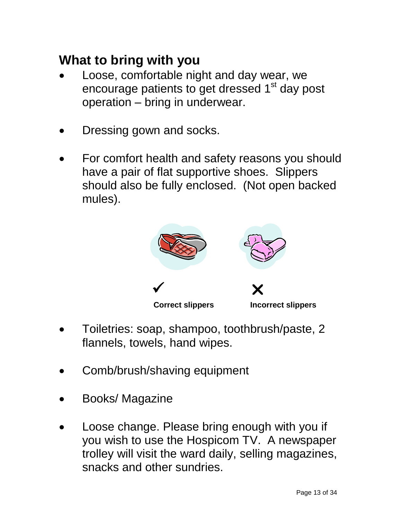## <span id="page-12-0"></span>**What to bring with you**

- Loose, comfortable night and day wear, we encourage patients to get dressed 1<sup>st</sup> day post operation – bring in underwear.
- Dressing gown and socks.
- For comfort health and safety reasons you should have a pair of flat supportive shoes. Slippers should also be fully enclosed. (Not open backed mules).



- Toiletries: soap, shampoo, toothbrush/paste, 2 flannels, towels, hand wipes.
- Comb/brush/shaving equipment
- Books/ Magazine
- Loose change. Please bring enough with you if you wish to use the Hospicom TV. A newspaper trolley will visit the ward daily, selling magazines, snacks and other sundries.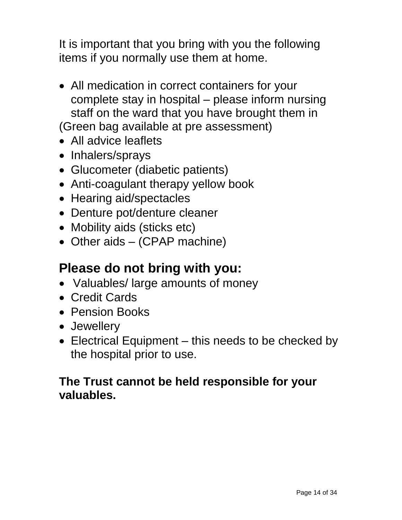It is important that you bring with you the following items if you normally use them at home.

- All medication in correct containers for your complete stay in hospital – please inform nursing staff on the ward that you have brought them in (Green bag available at pre assessment)
- All advice leaflets
- Inhalers/sprays
- Glucometer (diabetic patients)
- Anti-coagulant therapy yellow book
- Hearing aid/spectacles
- Denture pot/denture cleaner
- Mobility aids (sticks etc)
- Other aids (CPAP machine)

### **Please do not bring with you:**

- Valuables/ large amounts of money
- Credit Cards
- Pension Books
- Jewellery
- Electrical Equipment this needs to be checked by the hospital prior to use.

#### **The Trust cannot be held responsible for your valuables.**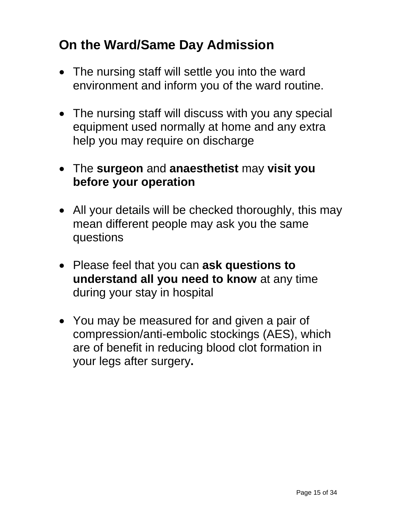# <span id="page-14-0"></span>**On the Ward/Same Day Admission**

- The nursing staff will settle you into the ward environment and inform you of the ward routine.
- The nursing staff will discuss with you any special equipment used normally at home and any extra help you may require on discharge
- The **surgeon** and **anaesthetist** may **visit you before your operation**
- All your details will be checked thoroughly, this may mean different people may ask you the same questions
- Please feel that you can **ask questions to understand all you need to know** at any time during your stay in hospital
- You may be measured for and given a pair of compression/anti-embolic stockings (AES), which are of benefit in reducing blood clot formation in your legs after surgery**.**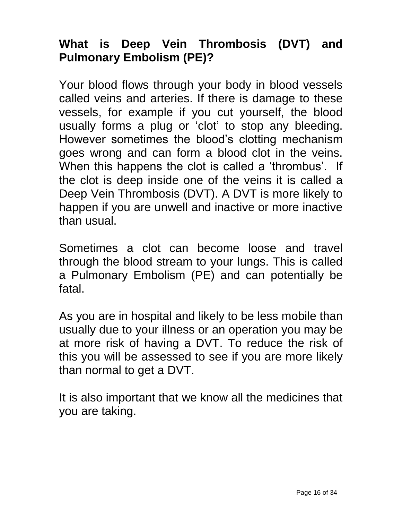#### **What is Deep Vein Thrombosis (DVT) and Pulmonary Embolism (PE)?**

Your blood flows through your body in blood vessels called veins and arteries. If there is damage to these vessels, for example if you cut yourself, the blood usually forms a plug or 'clot' to stop any bleeding. However sometimes the blood's clotting mechanism goes wrong and can form a blood clot in the veins. When this happens the clot is called a 'thrombus'. If the clot is deep inside one of the veins it is called a Deep Vein Thrombosis (DVT). A DVT is more likely to happen if you are unwell and inactive or more inactive than usual.

Sometimes a clot can become loose and travel through the blood stream to your lungs. This is called a Pulmonary Embolism (PE) and can potentially be fatal.

As you are in hospital and likely to be less mobile than usually due to your illness or an operation you may be at more risk of having a DVT. To reduce the risk of this you will be assessed to see if you are more likely than normal to get a DVT.

It is also important that we know all the medicines that you are taking.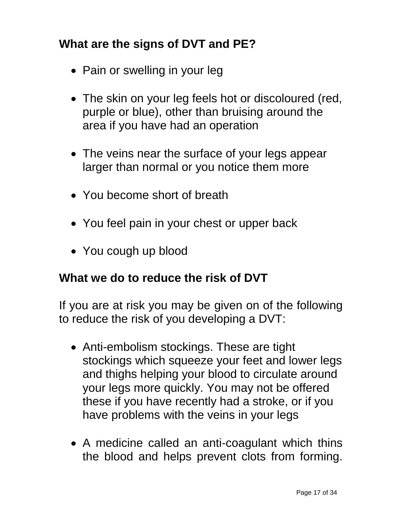#### **What are the signs of DVT and PE?**

- Pain or swelling in your leg
- The skin on your leg feels hot or discoloured (red, purple or blue), other than bruising around the area if you have had an operation
- The veins near the surface of your legs appear larger than normal or you notice them more
- You become short of breath
- You feel pain in your chest or upper back
- You cough up blood

#### **What we do to reduce the risk of DVT**

If you are at risk you may be given on of the following to reduce the risk of you developing a DVT:

- Anti-embolism stockings. These are tight stockings which squeeze your feet and lower legs and thighs helping your blood to circulate around your legs more quickly. You may not be offered these if you have recently had a stroke, or if you have problems with the veins in your legs
- A medicine called an anti-coagulant which thins the blood and helps prevent clots from forming.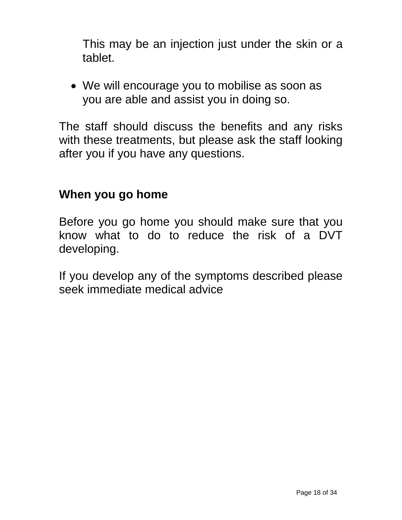This may be an injection just under the skin or a tablet.

 We will encourage you to mobilise as soon as you are able and assist you in doing so.

The staff should discuss the benefits and any risks with these treatments, but please ask the staff looking after you if you have any questions.

#### **When you go home**

Before you go home you should make sure that you know what to do to reduce the risk of a DVT developing.

If you develop any of the symptoms described please seek immediate medical advice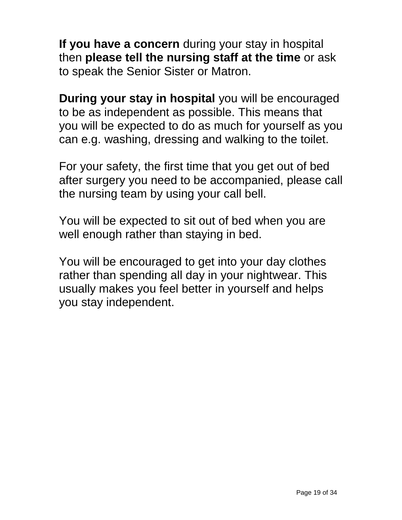**If you have a concern** during your stay in hospital then **please tell the nursing staff at the time** or ask to speak the Senior Sister or Matron.

**During your stay in hospital** you will be encouraged to be as independent as possible. This means that you will be expected to do as much for yourself as you can e.g. washing, dressing and walking to the toilet.

For your safety, the first time that you get out of bed after surgery you need to be accompanied, please call the nursing team by using your call bell.

You will be expected to sit out of bed when you are well enough rather than staying in bed.

You will be encouraged to get into your day clothes rather than spending all day in your nightwear. This usually makes you feel better in yourself and helps you stay independent.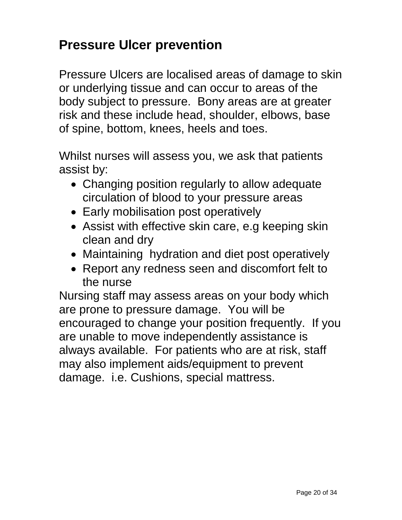# **Pressure Ulcer prevention**

Pressure Ulcers are localised areas of damage to skin or underlying tissue and can occur to areas of the body subject to pressure. Bony areas are at greater risk and these include head, shoulder, elbows, base of spine, bottom, knees, heels and toes.

Whilst nurses will assess you, we ask that patients assist by:

- Changing position regularly to allow adequate circulation of blood to your pressure areas
- Early mobilisation post operatively
- Assist with effective skin care, e.g keeping skin clean and dry
- Maintaining hydration and diet post operatively
- Report any redness seen and discomfort felt to the nurse

Nursing staff may assess areas on your body which are prone to pressure damage. You will be encouraged to change your position frequently. If you are unable to move independently assistance is always available. For patients who are at risk, staff may also implement aids/equipment to prevent damage. i.e. Cushions, special mattress.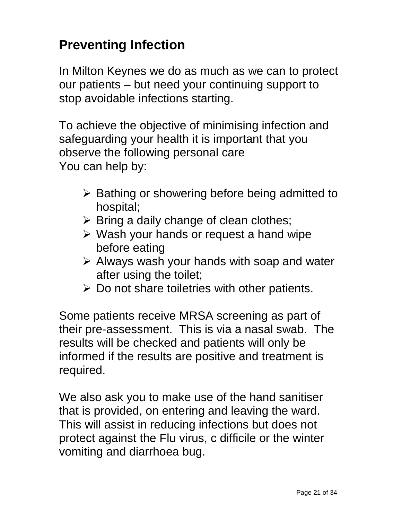# <span id="page-20-0"></span>**Preventing Infection**

In Milton Keynes we do as much as we can to protect our patients – but need your continuing support to stop avoidable infections starting.

To achieve the objective of minimising infection and safeguarding your health it is important that you observe the following personal care You can help by:

- $\triangleright$  Bathing or showering before being admitted to hospital;
- $\triangleright$  Bring a daily change of clean clothes;
- $\triangleright$  Wash your hands or request a hand wipe before eating
- $\triangleright$  Always wash your hands with soap and water after using the toilet;
- $\triangleright$  Do not share toiletries with other patients.

Some patients receive MRSA screening as part of their pre-assessment. This is via a nasal swab. The results will be checked and patients will only be informed if the results are positive and treatment is required.

We also ask you to make use of the hand sanitiser that is provided, on entering and leaving the ward. This will assist in reducing infections but does not protect against the Flu virus, c difficile or the winter vomiting and diarrhoea bug.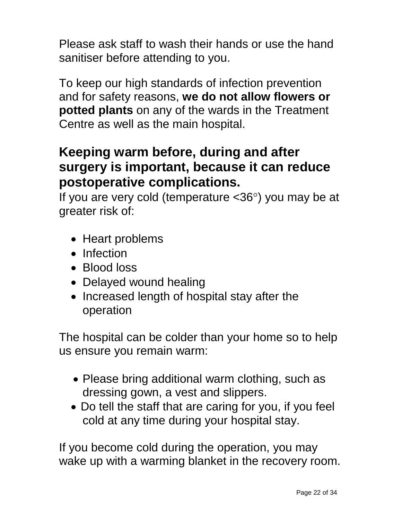Please ask staff to wash their hands or use the hand sanitiser before attending to you.

To keep our high standards of infection prevention and for safety reasons, **we do not allow flowers or potted plants** on any of the wards in the Treatment Centre as well as the main hospital.

### **Keeping warm before, during and after surgery is important, because it can reduce postoperative complications.**

If you are very cold (temperature  $<36^{\circ}$ ) you may be at greater risk of:

- Heart problems
- Infection
- Blood loss
- Delayed wound healing
- Increased length of hospital stay after the operation

The hospital can be colder than your home so to help us ensure you remain warm:

- Please bring additional warm clothing, such as dressing gown, a vest and slippers.
- Do tell the staff that are caring for you, if you feel cold at any time during your hospital stay.

If you become cold during the operation, you may wake up with a warming blanket in the recovery room.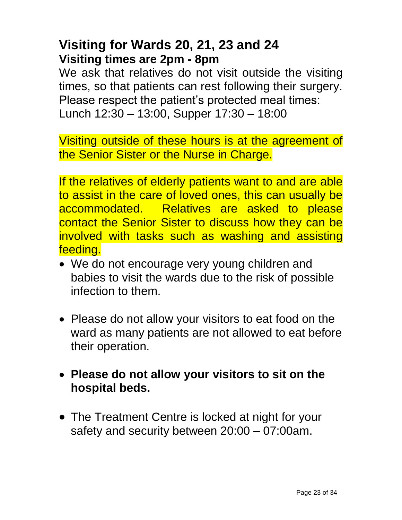#### <span id="page-22-0"></span>**Visiting for Wards 20, 21, 23 and 24 Visiting times are 2pm - 8pm**

We ask that relatives do not visit outside the visiting times, so that patients can rest following their surgery. Please respect the patient's protected meal times: Lunch 12:30 – 13:00, Supper 17:30 – 18:00

Visiting outside of these hours is at the agreement of the Senior Sister or the Nurse in Charge.

If the relatives of elderly patients want to and are able to assist in the care of loved ones, this can usually be accommodated. Relatives are asked to please contact the Senior Sister to discuss how they can be involved with tasks such as washing and assisting feeding.

- We do not encourage very young children and babies to visit the wards due to the risk of possible infection to them.
- Please do not allow your visitors to eat food on the ward as many patients are not allowed to eat before their operation.
- **Please do not allow your visitors to sit on the hospital beds.**
- The Treatment Centre is locked at night for your safety and security between 20:00 – 07:00am.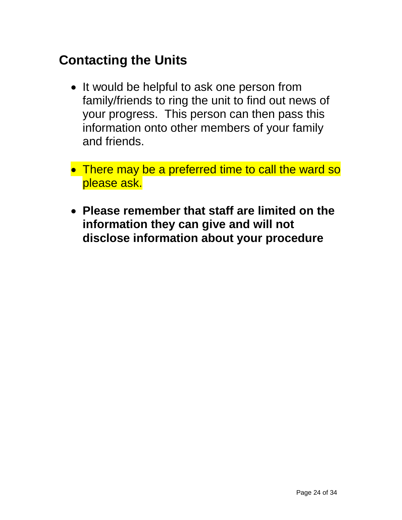# <span id="page-23-0"></span>**Contacting the Units**

- It would be helpful to ask one person from family/friends to ring the unit to find out news of your progress. This person can then pass this information onto other members of your family and friends.
- There may be a preferred time to call the ward so please ask.
- <span id="page-23-1"></span> **Please remember that staff are limited on the information they can give and will not disclose information about your procedure**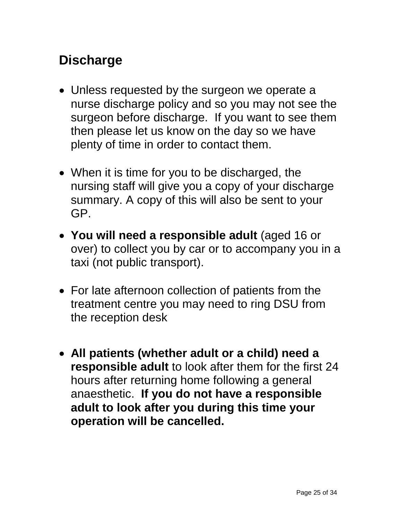# **Discharge**

- Unless requested by the surgeon we operate a nurse discharge policy and so you may not see the surgeon before discharge. If you want to see them then please let us know on the day so we have plenty of time in order to contact them.
- When it is time for you to be discharged, the nursing staff will give you a copy of your discharge summary. A copy of this will also be sent to your GP.
- **You will need a responsible adult** (aged 16 or over) to collect you by car or to accompany you in a taxi (not public transport).
- For late afternoon collection of patients from the treatment centre you may need to ring DSU from the reception desk
- **All patients (whether adult or a child) need a responsible adult** to look after them for the first 24 hours after returning home following a general anaesthetic. **If you do not have a responsible adult to look after you during this time your operation will be cancelled.**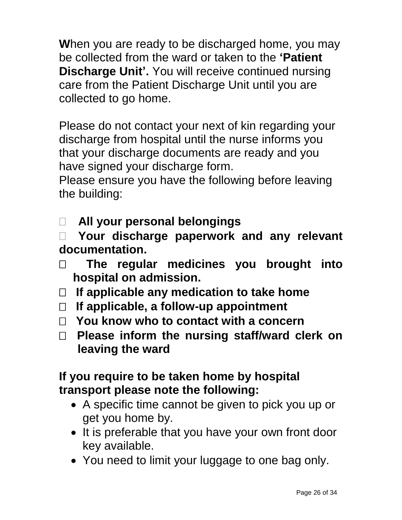**W**hen you are ready to be discharged home, you may be collected from the ward or taken to the **'Patient Discharge Unit'.** You will receive continued nursing care from the Patient Discharge Unit until you are collected to go home.

Please do not contact your next of kin regarding your discharge from hospital until the nurse informs you that your discharge documents are ready and you have signed your discharge form.

Please ensure you have the following before leaving the building:

 **All your personal belongings**

 **Your discharge paperwork and any relevant documentation.**

- **The regular medicines you brought into hospital on admission.**
- **If applicable any medication to take home**
- **If applicable, a follow-up appointment**
- **You know who to contact with a concern**
- **Please inform the nursing staff/ward clerk on leaving the ward**

#### **If you require to be taken home by hospital transport please note the following:**

- A specific time cannot be given to pick you up or get you home by.
- It is preferable that you have your own front door key available.
- You need to limit your luggage to one bag only.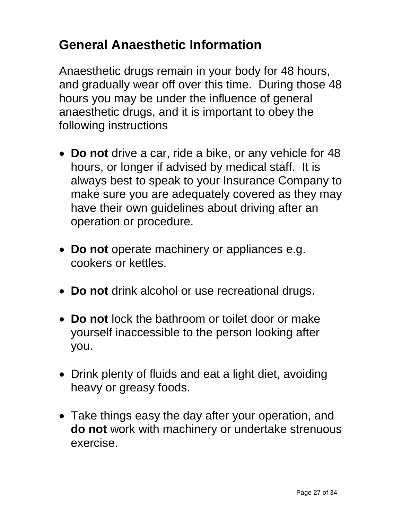## <span id="page-26-0"></span>**General Anaesthetic Information**

Anaesthetic drugs remain in your body for 48 hours, and gradually wear off over this time. During those 48 hours you may be under the influence of general anaesthetic drugs, and it is important to obey the following instructions

- **Do not** drive a car, ride a bike, or any vehicle for 48 hours, or longer if advised by medical staff. It is always best to speak to your Insurance Company to make sure you are adequately covered as they may have their own guidelines about driving after an operation or procedure.
- **Do not** operate machinery or appliances e.g. cookers or kettles.
- **Do not** drink alcohol or use recreational drugs.
- **Do not** lock the bathroom or toilet door or make yourself inaccessible to the person looking after you.
- Drink plenty of fluids and eat a light diet, avoiding heavy or greasy foods.
- Take things easy the day after your operation, and **do not** work with machinery or undertake strenuous exercise.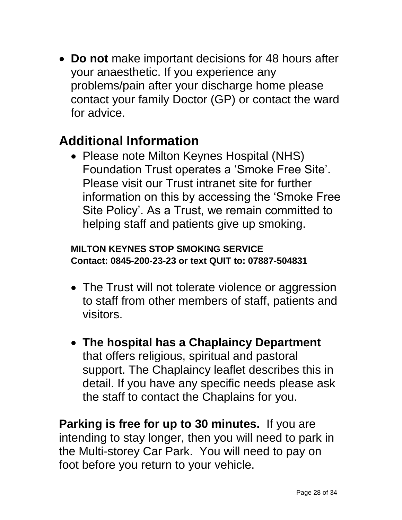**Do not** make important decisions for 48 hours after your anaesthetic. If you experience any problems/pain after your discharge home please contact your family Doctor (GP) or contact the ward for advice.

### <span id="page-27-0"></span>**Additional Information**

 Please note Milton Keynes Hospital (NHS) Foundation Trust operates a 'Smoke Free Site'. Please visit our Trust intranet site for further information on this by accessing the 'Smoke Free Site Policy'. As a Trust, we remain committed to helping staff and patients give up smoking.

#### **MILTON KEYNES STOP SMOKING SERVICE Contact: 0845-200-23-23 or text QUIT to: 07887-504831**

- The Trust will not tolerate violence or aggression to staff from other members of staff, patients and visitors.
- **The hospital has a Chaplaincy Department** that offers religious, spiritual and pastoral support. The Chaplaincy leaflet describes this in detail. If you have any specific needs please ask the staff to contact the Chaplains for you.

**Parking is free for up to 30 minutes.** If you are intending to stay longer, then you will need to park in the Multi-storey Car Park. You will need to pay on foot before you return to your vehicle.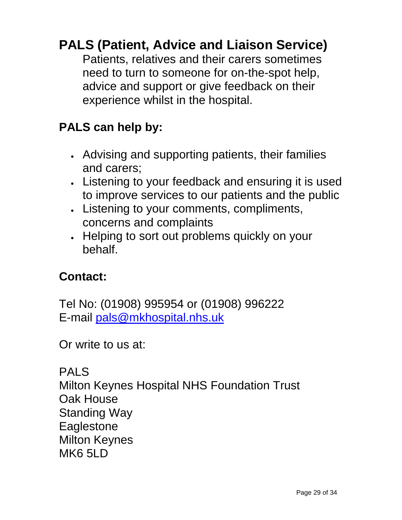# **PALS (Patient, Advice and Liaison Service)**

Patients, relatives and their carers sometimes need to turn to someone for on-the-spot help, advice and support or give feedback on their experience whilst in the hospital.

#### **PALS can help by:**

- Advising and supporting patients, their families and carers;
- Listening to your feedback and ensuring it is used to improve services to our patients and the public
- Listening to your comments, compliments, concerns and complaints
- Helping to sort out problems quickly on your behalf.

### **Contact:**

Tel No: (01908) 995954 or (01908) 996222 E-mail [pals@mkhospital.nhs.uk](mailto:pals@mkhospital.nhs.uk)

Or write to us at:

PALS Milton Keynes Hospital NHS Foundation Trust Oak House Standing Way **Eaglestone** Milton Keynes MK6 5LD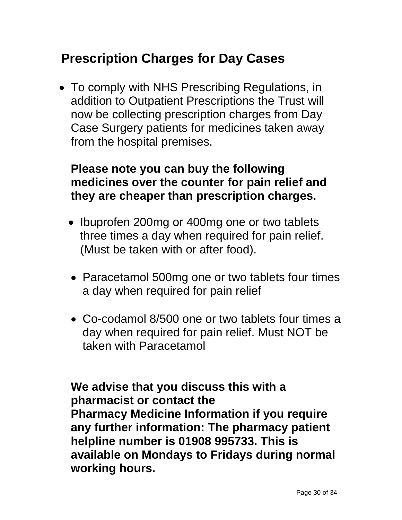## **Prescription Charges for Day Cases**

 To comply with NHS Prescribing Regulations, in addition to Outpatient Prescriptions the Trust will now be collecting prescription charges from Day Case Surgery patients for medicines taken away from the hospital premises.

#### **Please note you can buy the following medicines over the counter for pain relief and they are cheaper than prescription charges.**

- Ibuprofen 200mg or 400mg one or two tablets three times a day when required for pain relief. (Must be taken with or after food).
- Paracetamol 500mg one or two tablets four times a day when required for pain relief
- Co-codamol 8/500 one or two tablets four times a day when required for pain relief. Must NOT be taken with Paracetamol

**We advise that you discuss this with a pharmacist or contact the Pharmacy Medicine Information if you require any further information: The pharmacy patient helpline number is 01908 995733. This is available on Mondays to Fridays during normal working hours.**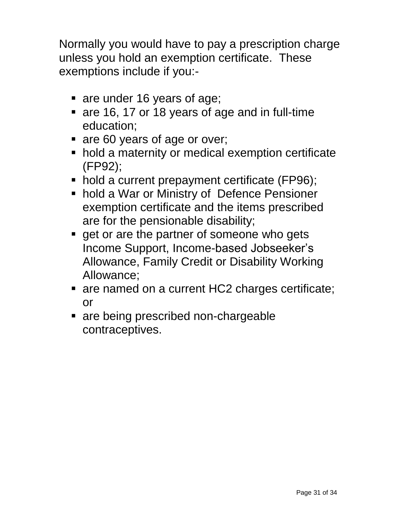Normally you would have to pay a prescription charge unless you hold an exemption certificate. These exemptions include if you:-

- are under 16 years of age;
- are 16, 17 or 18 years of age and in full-time education;
- are 60 years of age or over;
- hold a maternity or medical exemption certificate (FP92);
- hold a current prepayment certificate (FP96);
- hold a War or Ministry of Defence Pensioner exemption certificate and the items prescribed are for the pensionable disability;
- qet or are the partner of someone who gets Income Support, Income-based Jobseeker's Allowance, Family Credit or Disability Working Allowance;
- are named on a current HC2 charges certificate; or
- are being prescribed non-chargeable contraceptives.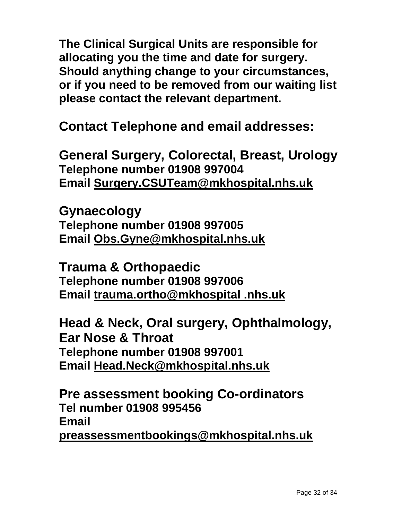**The Clinical Surgical Units are responsible for allocating you the time and date for surgery. Should anything change to your circumstances, or if you need to be removed from our waiting list please contact the relevant department.**

**Contact Telephone and email addresses:**

**General Surgery, Colorectal, Breast, Urology Telephone number 01908 997004 Email Surgery.CSUTeam@mkhospital.nhs.uk**

**Gynaecology Telephone number 01908 997005 Email Obs.Gyne@mkhospital.nhs.uk**

**Trauma & Orthopaedic Telephone number 01908 997006 Email trauma.ortho@mkhospital .nhs.uk**

**Head & Neck, Oral surgery, Ophthalmology, Ear Nose & Throat Telephone number 01908 997001 Email Head.Neck@mkhospital.nhs.uk**

**Pre assessment booking Co-ordinators Tel number 01908 995456 Email [preassessmentbookings@mkhospital.nhs.uk](mailto:preassessmentbookings@mkhospital.nhs.uk)**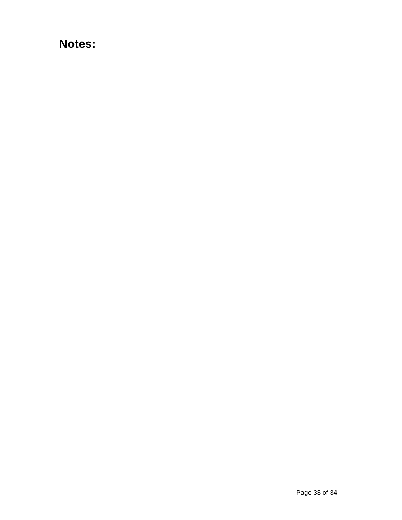**Notes:**